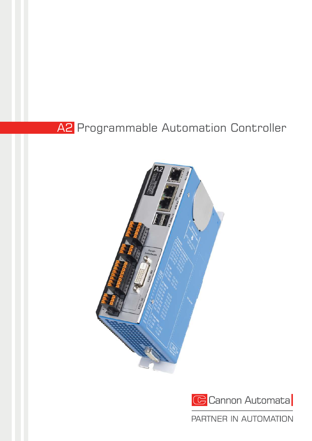## A2 Programmable Automation Controller





PARTNER IN AUTOMATION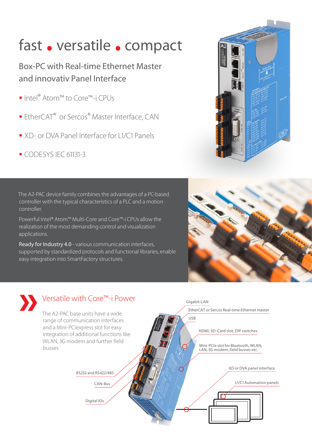# fast • versatile • compact

### Box-PC with Real-time Ethernet Master and innovativ Panel Interface

- Intel® Atom™ to Core™-i CPUs
- **EtherCAT®** or Sercos® Master Interface, CAN
- XD- or DVA Panel Interface for L1/C1 Panels
- CODESYS IEC 61131-3

**»**





Digital IOs



The A2-PAC device family combines the advantages of a PC-based controller with the typical characteristics of a PLC and a motion controller.

Powerful Intel® Atom™ Multi-Core and Core™-i CPUs allow the realization of the most demanding control and visualization applications.

Ready for Industry 4.0 - various communication interfaces, supported by standardized protocols and functional libraries, enable easy integration into SmartFactory structures.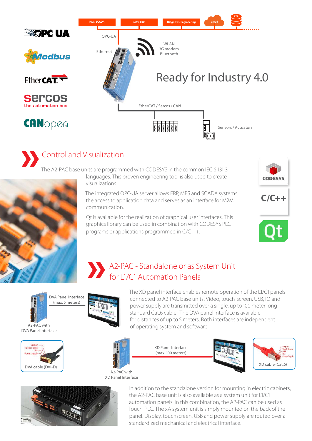

### Control and Visualization

The A2-PAC base units are programmed with CODESYS in the common IEC 61131-3 languages. This proven engineering tool is also used to create



visualizations. The integrated OPC-UA server allows ERP, MES and SCADA systems the access to application data and serves as an interface for M2M communication.

Qt is available for the realization of graphical user interfaces. This graphics library can be used in combination with CODESYS PLC programs or applications programmed in C/C ++.







### **»** A2-PAC - Standalone or as System Unit for L1/C1 Automation Panels



A2-PAC with DVA Panel Interface





The XD panel interface enables remote operation of the L1/C1 panels connected to A2-PAC base units. Video, touch-screen, USB, IO and power supply are transmitted over a single, up to 100 meter long standard Cat.6 cable. The DVA panel interface is available for distances of up to 5 meters. Both interfaces are independent of operating system and software.

> XD Panel Interface (max. 100 meters)







In addition to the standalone version for mounting in electric cabinets, the A2-PAC base unit is also available as a system unit for L1/C1 automation panels. In this combination, the A2-PAC can be used as Touch-PLC. The xA system unit is simply mounted on the back of the panel. Display, touchscreen, USB and power supply are routed over a standardized mechanical and electrical interface.